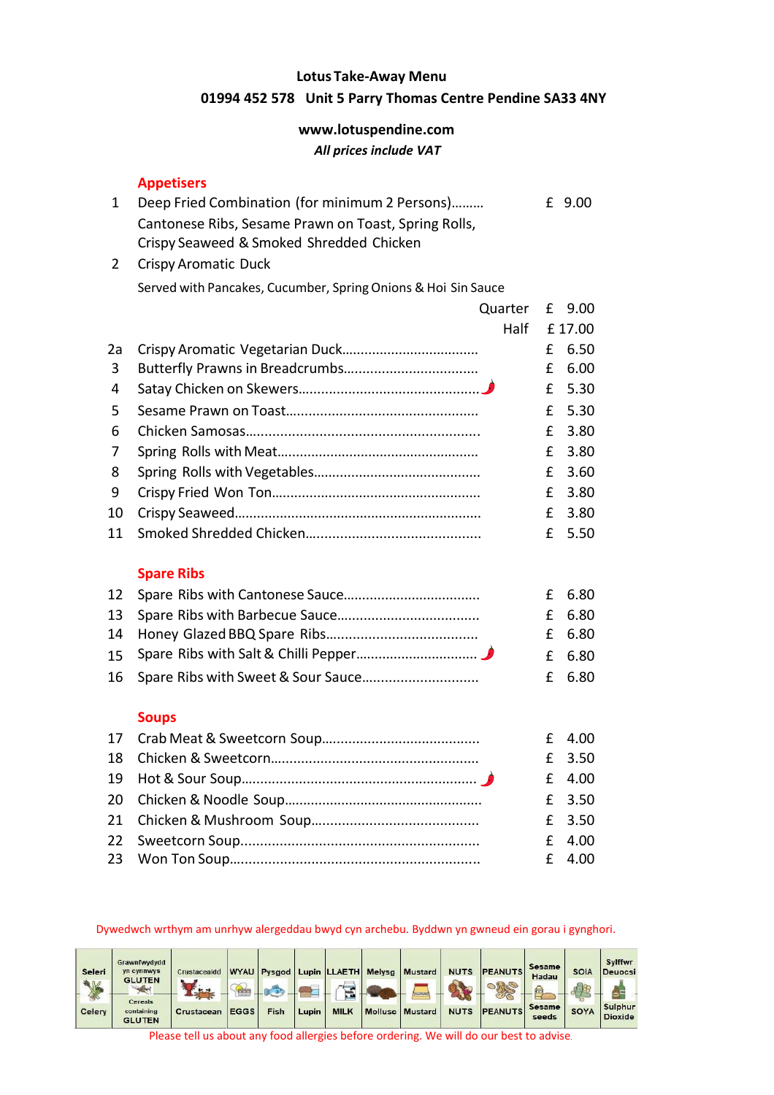#### **Lotus Take-Away Menu 01994 452 578 Unit 5 Parry Thomas Centre Pendine SA33 4NY**

#### **www.lotuspendine.com** *All prices include VAT*

#### **Appetisers**

| Deep Fried Combination (for minimum 2 Persons)       | £ 9.00 |
|------------------------------------------------------|--------|
| Cantonese Ribs, Sesame Prawn on Toast, Spring Rolls, |        |
| Crispy Seaweed & Smoked Shredded Chicken             |        |
|                                                      |        |

 Crispy Aromatic Duck Served with Pancakes, Cucumber, Spring Onions & Hoi Sin Sauce

|    | Quarter           | £ | 9.00   |
|----|-------------------|---|--------|
|    | Half              |   | £17.00 |
| 2a |                   | £ | 6.50   |
| 3  |                   | £ | 6.00   |
| 4  |                   | £ | 5.30   |
| 5  |                   | £ | 5.30   |
| 6  |                   | £ | 3.80   |
| 7  |                   | £ | 3.80   |
| 8  |                   | £ | 3.60   |
| 9  |                   | £ | 3.80   |
| 10 |                   | f | 3.80   |
| 11 |                   | £ | 5.50   |
|    | <b>Spare Ribs</b> |   |        |
| 12 |                   | f | 6.80   |
| 13 |                   | f | 6.80   |
| 14 |                   | £ | 6.80   |
| 15 |                   | f | 6.80   |
| 16 |                   | £ | 6.80   |
|    | <b>Soups</b>      |   |        |
| 17 |                   | £ | 4.00   |

|  | <b>L</b> 4.00 |
|--|---------------|
|  | £ 3.50        |
|  | $£$ 4.00      |
|  | £ 3.50        |
|  | £ 3.50        |
|  | $£$ 4.00      |
|  | $£$ 4.00      |
|  |               |

#### Dywedwch wrthym am unrhyw alergeddau bwyd cyn archebu. Byddwn yn gwneud ein gorau i gynghori.

| Seleri<br>QM                         | Grawnfwydydd<br><b>yn cynnwys</b><br><b>GLUTEN</b> | Crustaceaidd |             | <b>WYAU</b> Pysgod |       | Lupin LLAETH<br>$\overline{a}$ | <b>Melysg</b> | Mustard                | <b>NUTS</b> | <b>PEANUTS</b> | <b>Sesame</b><br>Hadau | <b>SOIA</b> | Sylffwr<br><b>Deuocsi</b>        |
|--------------------------------------|----------------------------------------------------|--------------|-------------|--------------------|-------|--------------------------------|---------------|------------------------|-------------|----------------|------------------------|-------------|----------------------------------|
| $\mathscr{L}_{\mathbb{C}}$<br>Celery | <b>Cereals</b><br>containing<br><b>GLUTEN</b>      | Crustacean   | <b>EGGS</b> | Fish               | Lupin | <b>MILK</b>                    |               | <b>Mollusc</b> Mustard | <b>NUTS</b> | <b>PEANUTS</b> | <b>Sesame</b><br>seeds | <b>SOYA</b> | <b>Sulphur</b><br><b>Dioxide</b> |

Please tell us about any food allergies before ordering. We will do our best to advise.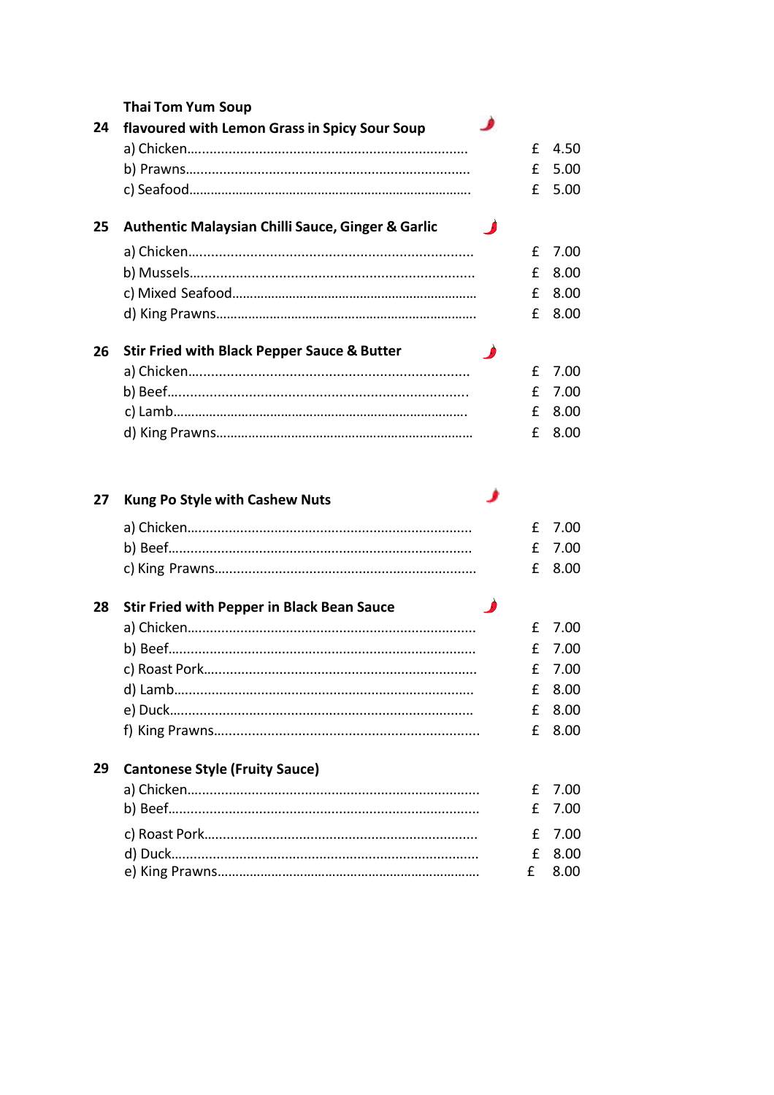|    | <b>Thai Tom Yum Soup</b>                                     |   |              |
|----|--------------------------------------------------------------|---|--------------|
| 24 | flavoured with Lemon Grass in Spicy Sour Soup                |   |              |
|    |                                                              | £ | 4.50         |
|    |                                                              | £ | 5.00         |
|    |                                                              | £ | 5.00         |
| 25 | <b>Authentic Malaysian Chilli Sauce, Ginger &amp; Garlic</b> |   |              |
|    |                                                              | £ | 7.00         |
|    |                                                              | £ | 8.00         |
|    |                                                              | £ | 8.00         |
|    |                                                              | £ | 8.00         |
| 26 | <b>Stir Fried with Black Pepper Sauce &amp; Butter</b>       |   |              |
|    |                                                              | £ | 7.00         |
|    |                                                              | £ | 7.00         |
|    |                                                              | £ | 8.00         |
|    |                                                              | £ | 8.00         |
|    |                                                              |   |              |
|    |                                                              |   |              |
| 27 | <b>Kung Po Style with Cashew Nuts</b>                        |   |              |
|    |                                                              | £ | 7.00         |
|    |                                                              | £ | 7.00         |
|    |                                                              | £ | 8.00         |
| 28 | <b>Stir Fried with Pepper in Black Bean Sauce</b>            |   |              |
|    |                                                              | £ | 7.00         |
|    |                                                              | £ | 7.00         |
|    |                                                              | £ | 7.00         |
|    |                                                              | £ | 8.00         |
|    |                                                              | £ | 8.00         |
|    |                                                              | £ | 8.00         |
| 29 | <b>Cantonese Style (Fruity Sauce)</b>                        |   |              |
|    |                                                              | £ | 7.00         |
|    |                                                              | £ |              |
|    |                                                              | £ | 7.00<br>7.00 |

 $E$  8.00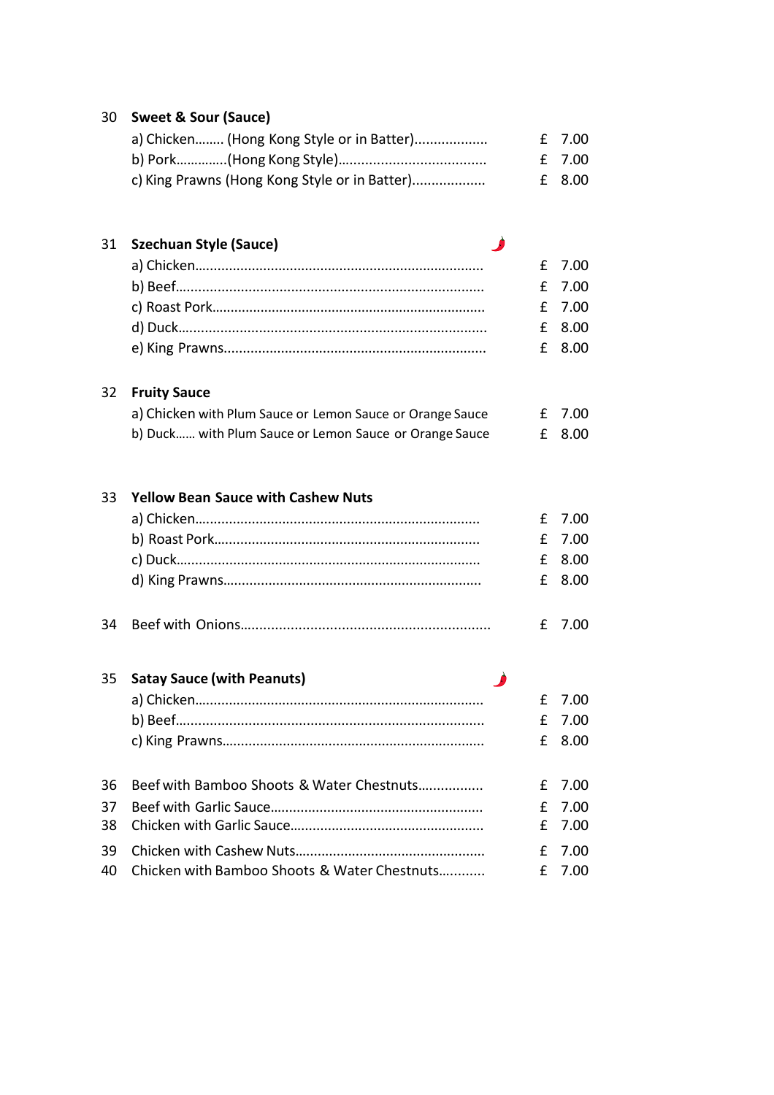| 30       | <b>Sweet &amp; Sour (Sauce)</b>                           |   |      |
|----------|-----------------------------------------------------------|---|------|
|          | a) Chicken (Hong Kong Style or in Batter)                 | £ | 7.00 |
|          |                                                           | £ | 7.00 |
|          | c) King Prawns (Hong Kong Style or in Batter)             | £ | 8.00 |
| 31       | <b>Szechuan Style (Sauce)</b>                             |   |      |
|          |                                                           | £ | 7.00 |
|          |                                                           | £ | 7.00 |
|          |                                                           | £ | 7.00 |
|          |                                                           | £ | 8.00 |
|          |                                                           | £ | 8.00 |
| 32       | <b>Fruity Sauce</b>                                       |   |      |
|          | a) Chicken with Plum Sauce or Lemon Sauce or Orange Sauce | £ | 7.00 |
|          | b) Duck with Plum Sauce or Lemon Sauce or Orange Sauce    | £ | 8.00 |
| 33       | <b>Yellow Bean Sauce with Cashew Nuts</b>                 |   |      |
|          |                                                           | £ | 7.00 |
|          |                                                           | £ | 7.00 |
|          |                                                           | £ | 8.00 |
|          |                                                           | £ | 8.00 |
| 34       |                                                           | £ | 7.00 |
| 35       | <b>Satay Sauce (with Peanuts)</b>                         |   |      |
|          |                                                           | £ | 7.00 |
|          |                                                           | £ | 7.00 |
|          |                                                           | £ | 8.00 |
|          |                                                           |   |      |
| 36       | Beef with Bamboo Shoots & Water Chestnuts                 | £ | 7.00 |
| 37       |                                                           | £ | 7.00 |
|          |                                                           | £ | 7.00 |
| 38<br>39 |                                                           | £ | 7.00 |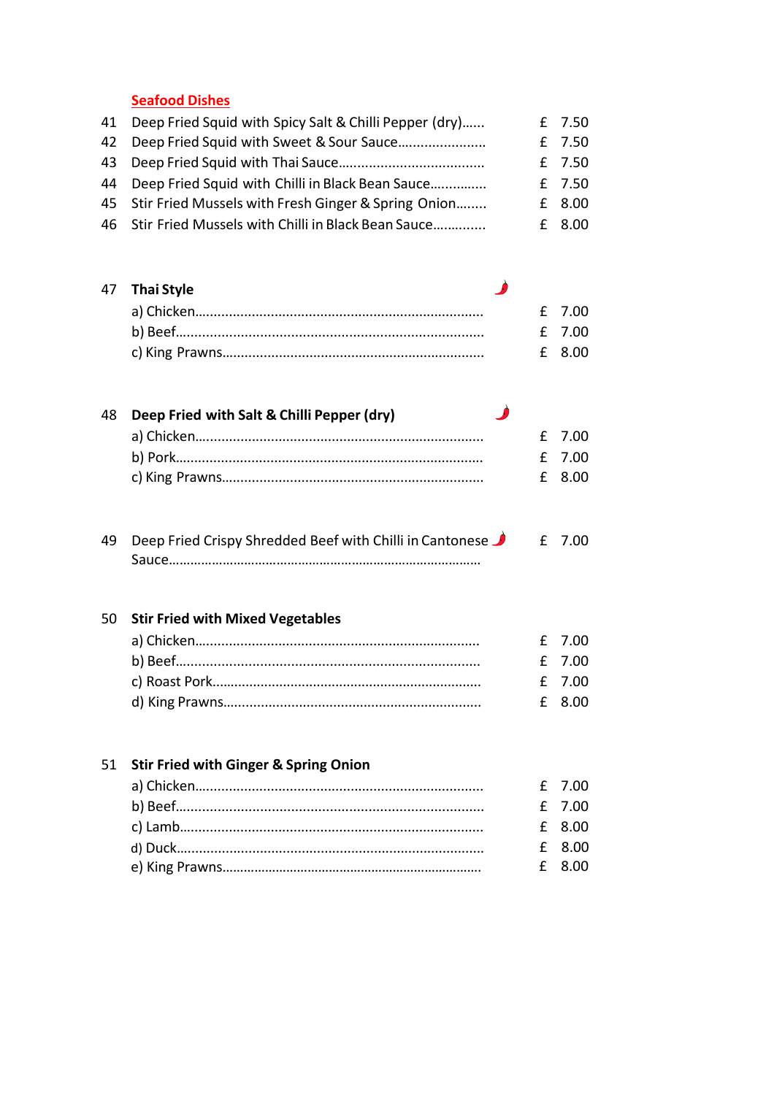**Seafood Dishes**

| 41 Deep Fried Squid with Spicy Salt & Chilli Pepper (dry) | £ 7.50 |
|-----------------------------------------------------------|--------|
| 42 Deep Fried Squid with Sweet & Sour Sauce               | £ 7.50 |
|                                                           | £ 7.50 |
| 44 Deep Fried Squid with Chilli in Black Bean Sauce       | £ 7.50 |
| 45 Stir Fried Mussels with Fresh Ginger & Spring Onion    | £ 8.00 |
| 46 Stir Fried Mussels with Chilli in Black Bean Sauce     | £ 8.00 |

| 47 Thai Style |  |        |
|---------------|--|--------|
|               |  | f 700  |
|               |  | f 700  |
|               |  | f 8.00 |

| 48 Deep Fried with Salt & Chilli Pepper (dry) | - 8 |        |
|-----------------------------------------------|-----|--------|
|                                               |     | f 7.00 |
|                                               |     | f 700  |
|                                               |     | f 8.00 |

| 49 Deep Fried Crispy Shredded Beef with Chilli in Cantonese | £ 7.00 |
|-------------------------------------------------------------|--------|
|                                                             |        |

#### 50 **Stir Fried with Mixed Vegetables**

|  | f 7.00 |
|--|--------|
|  | f 7.00 |
|  | f 7.00 |
|  | f 8.00 |

#### 51 **Stir Fried with Ginger & Spring Onion** a) Chicken…......................................................................... £ 7.00 b) Beef…............................................................................. £ 7.00 c) Lamb…............................................................................. £ 8.00 d) Duck….............................................................................. e) King Prawns………………………………………………………………. £ 8.00 £ 8.00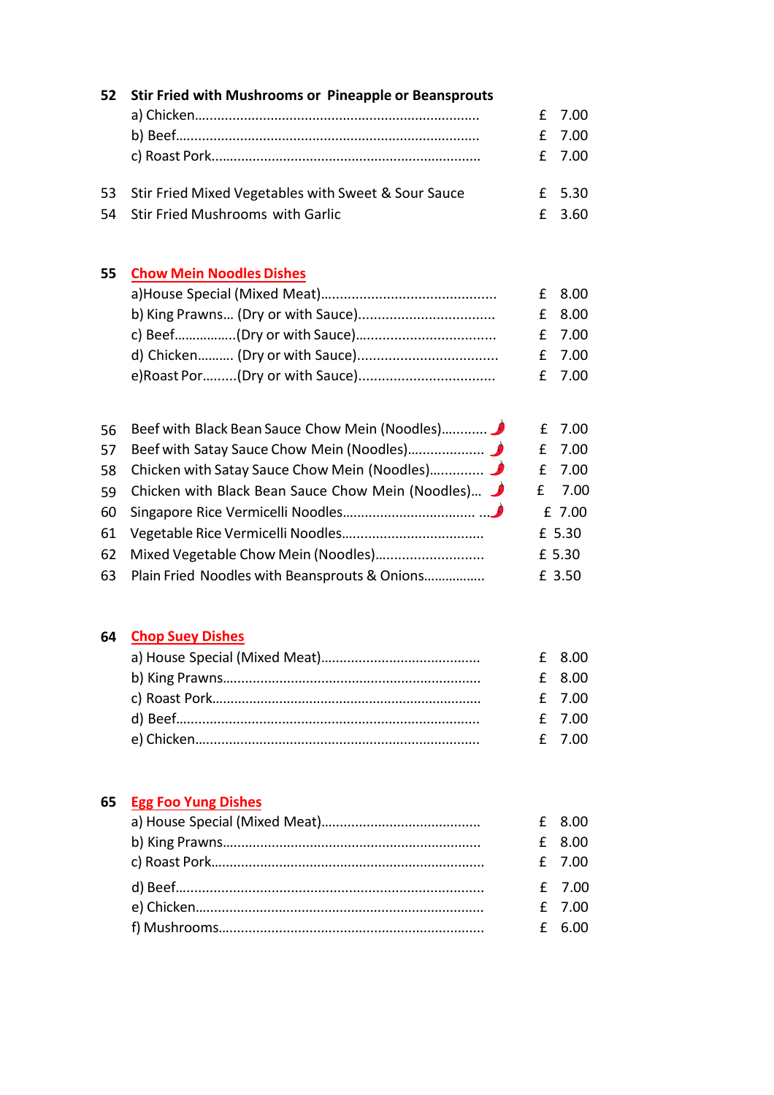| 52 | Stir Fried with Mushrooms or Pineapple or Beansprouts |   |        |
|----|-------------------------------------------------------|---|--------|
|    |                                                       | £ | 7.00   |
|    |                                                       | £ | 7.00   |
|    |                                                       | £ | 7.00   |
| 53 | Stir Fried Mixed Vegetables with Sweet & Sour Sauce   | £ | 5.30   |
| 54 | <b>Stir Fried Mushrooms with Garlic</b>               | £ | 3.60   |
| 55 | <b>Chow Mein Noodles Dishes</b>                       |   |        |
|    |                                                       | £ | 8.00   |
|    |                                                       | £ | 8.00   |
|    |                                                       | £ | 7.00   |
|    |                                                       | £ | 7.00   |
|    |                                                       | £ | 7.00   |
|    |                                                       |   |        |
| 56 | Beef with Black Bean Sauce Chow Mein (Noodles)        | £ | 7.00   |
| 57 |                                                       | £ | 7.00   |
| 58 | Chicken with Satay Sauce Chow Mein (Noodles)          | £ | 7.00   |
| 59 | Chicken with Black Bean Sauce Chow Mein (Noodles)     | £ | 7.00   |
| 60 |                                                       |   | £ 7.00 |
| 61 |                                                       |   | £ 5.30 |
| 62 | Mixed Vegetable Chow Mein (Noodles)                   |   | £ 5.30 |
| 63 | Plain Fried Noodles with Beansprouts & Onions         |   | £ 3.50 |
|    |                                                       |   |        |
| 64 | <b>Chop Suey Dishes</b>                               |   |        |
|    |                                                       | £ | 8.00   |
|    |                                                       | £ | 8.00   |
|    |                                                       | £ | 7.00   |
|    |                                                       | £ | 7.00   |
|    |                                                       | £ | 7.00   |
|    |                                                       |   |        |
| 65 | <b>Egg Foo Yung Dishes</b>                            |   |        |
|    |                                                       | £ | 8.00   |
|    |                                                       | £ | 8.00   |
|    |                                                       | £ | 7.00   |
|    |                                                       | £ | 7.00   |
|    |                                                       | £ | 7.00   |
|    |                                                       | £ | 6.00   |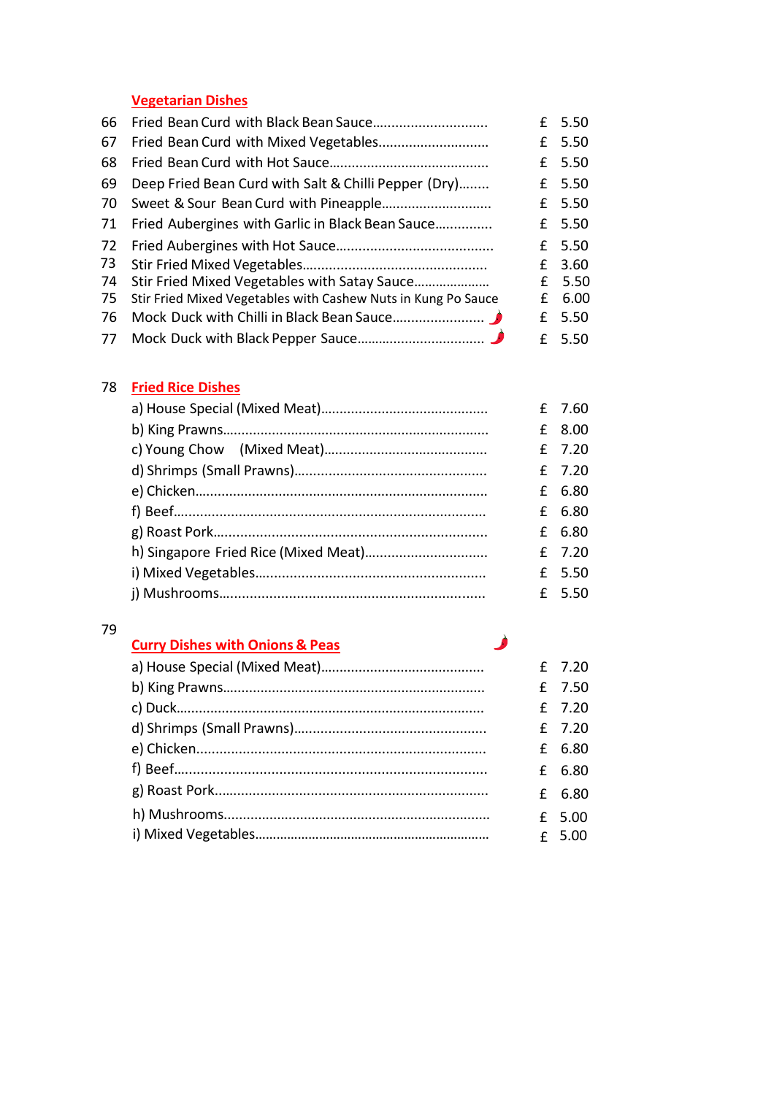### **Vegetarian Dishes**

| 66 |                                                               | £  | 5.50   |
|----|---------------------------------------------------------------|----|--------|
| 67 |                                                               | £  | 5.50   |
| 68 |                                                               |    | £ 5.50 |
| 69 | Deep Fried Bean Curd with Salt & Chilli Pepper (Dry)          |    | £ 5.50 |
| 70 |                                                               |    | £ 5.50 |
| 71 | Fried Aubergines with Garlic in Black Bean Sauce              |    | £ 5.50 |
| 72 |                                                               |    | £ 5.50 |
| 73 |                                                               | f. | 3.60   |
| 74 | Stir Fried Mixed Vegetables with Satay Sauce                  |    | £ 5.50 |
| 75 | Stir Fried Mixed Vegetables with Cashew Nuts in Kung Po Sauce | £  | 6.00   |
| 76 |                                                               | £  | 5.50   |
|    |                                                               |    | £ 5.50 |

### 78 **Fried Rice Dishes**

|  |  | £ 8.00 |
|--|--|--------|
|  |  | £ 7.20 |
|  |  | £ 7.20 |
|  |  | £ 6.80 |
|  |  | £ 6.80 |
|  |  | £ 6.80 |
|  |  | £ 7.20 |
|  |  | £ 5.50 |
|  |  | £ 5.50 |

#### 79

### **Curry Dishes with Onions & Peas**

|  | £ 7.20   |
|--|----------|
|  | £ 7.50   |
|  | £ 7.20   |
|  | £ 7.20   |
|  | £ 6.80   |
|  | £ 6.80   |
|  | £ 6.80   |
|  | $£$ 5.00 |
|  | $E$ 5.00 |

Ì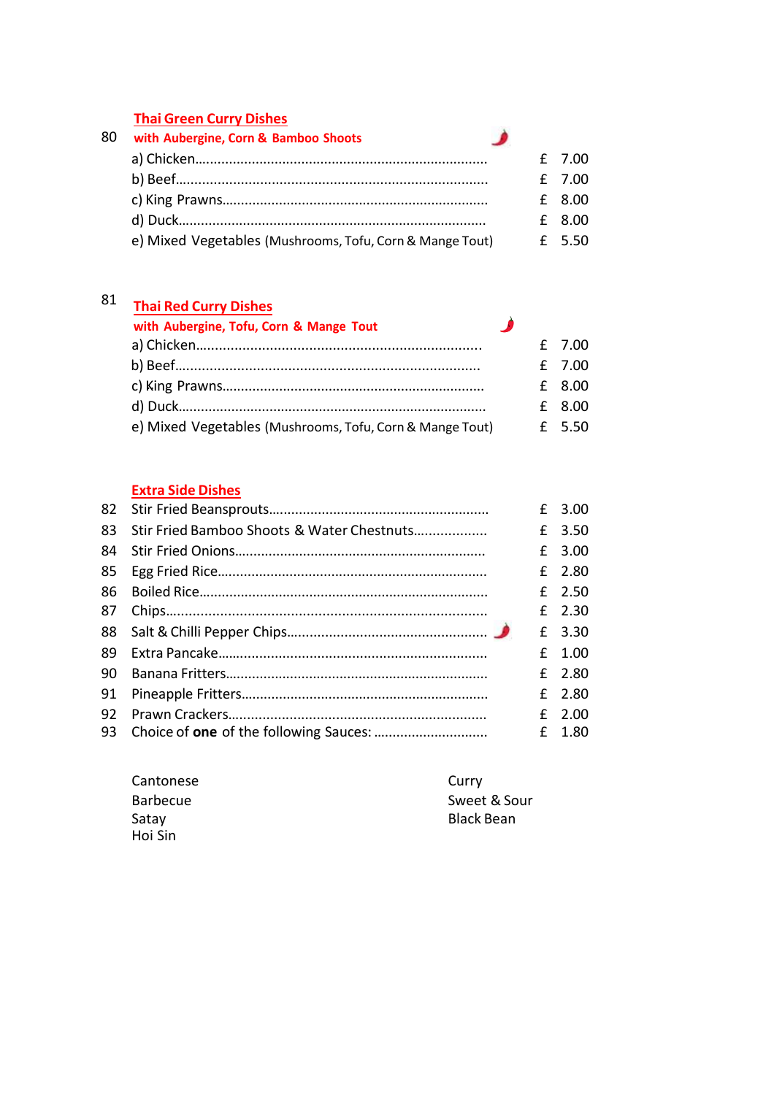#### **Thai Green Curry Dishes**

|    | <b>THAT OF CELL CALLY DISTICS</b>                        |  |          |
|----|----------------------------------------------------------|--|----------|
| 80 | with Aubergine, Corn & Bamboo Shoots                     |  |          |
|    |                                                          |  | $f$ 7.00 |
|    |                                                          |  | £ 7.00   |
|    |                                                          |  | £ 8.00   |
|    |                                                          |  | £ 8.00   |
|    | e) Mixed Vegetables (Mushrooms, Tofu, Corn & Mange Tout) |  | f 5.50   |

## 81 **Thai Red Curry Dishes**

| <b>THAI NEW CUITY DISTIES</b>                            |     |          |
|----------------------------------------------------------|-----|----------|
| with Aubergine, Tofu, Corn & Mange Tout                  | - 2 |          |
|                                                          |     | £ 7.00   |
|                                                          |     | £ 7.00   |
|                                                          |     | $£$ 8.00 |
|                                                          |     | $£$ 8.00 |
| e) Mixed Vegetables (Mushrooms, Tofu, Corn & Mange Tout) |     | £ 5.50   |

#### **Extra Side Dishes**

|    |                                            | £ 3.00   |
|----|--------------------------------------------|----------|
| 83 | Stir Fried Bamboo Shoots & Water Chestnuts | £ 3.50   |
| 84 |                                            | $£$ 3.00 |
|    |                                            | £ 2.80   |
| 86 |                                            | £ $2.50$ |
| 87 |                                            | £ $2.30$ |
|    |                                            | £ 3.30   |
| 89 |                                            | $£$ 1.00 |
| 90 |                                            | £ 2.80   |
| 91 |                                            | £ 2.80   |
| 92 |                                            | $£$ 2.00 |
|    |                                            | £ 1.80   |

| Cantonese       | Curry             |
|-----------------|-------------------|
| <b>Barbecue</b> | Sweet & Sour      |
| Satay           | <b>Black Bean</b> |
| Hoi Sin         |                   |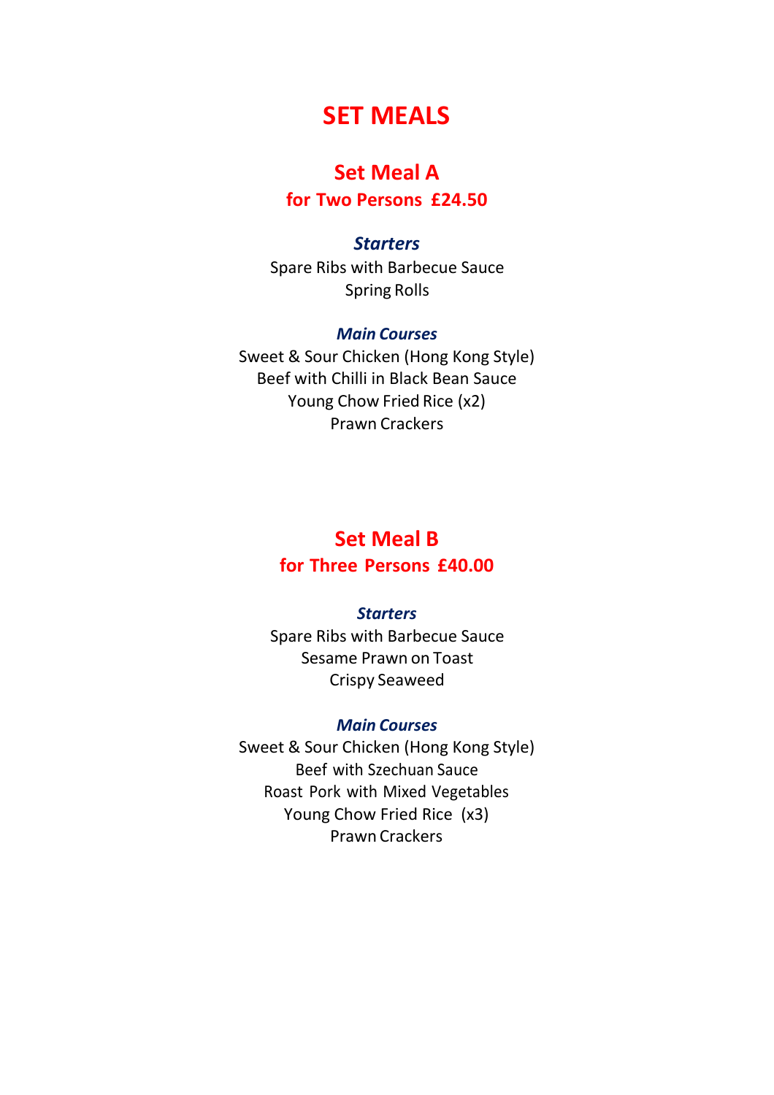# **SET MEALS**

## **Set Meal A**

**for Two Persons £24.50**

#### *Starters*

Spare Ribs with Barbecue Sauce Spring Rolls

#### *Main Courses*

Sweet & Sour Chicken (Hong Kong Style) Beef with Chilli in Black Bean Sauce Young Chow Fried Rice (x2) Prawn Crackers

# **Set Meal B for Three Persons £40.00**

#### *Starters*

Spare Ribs with Barbecue Sauce Sesame Prawn on Toast Crispy Seaweed

#### *Main Courses*

Sweet & Sour Chicken (Hong Kong Style) Beef with Szechuan Sauce Roast Pork with Mixed Vegetables Young Chow Fried Rice (x3) Prawn Crackers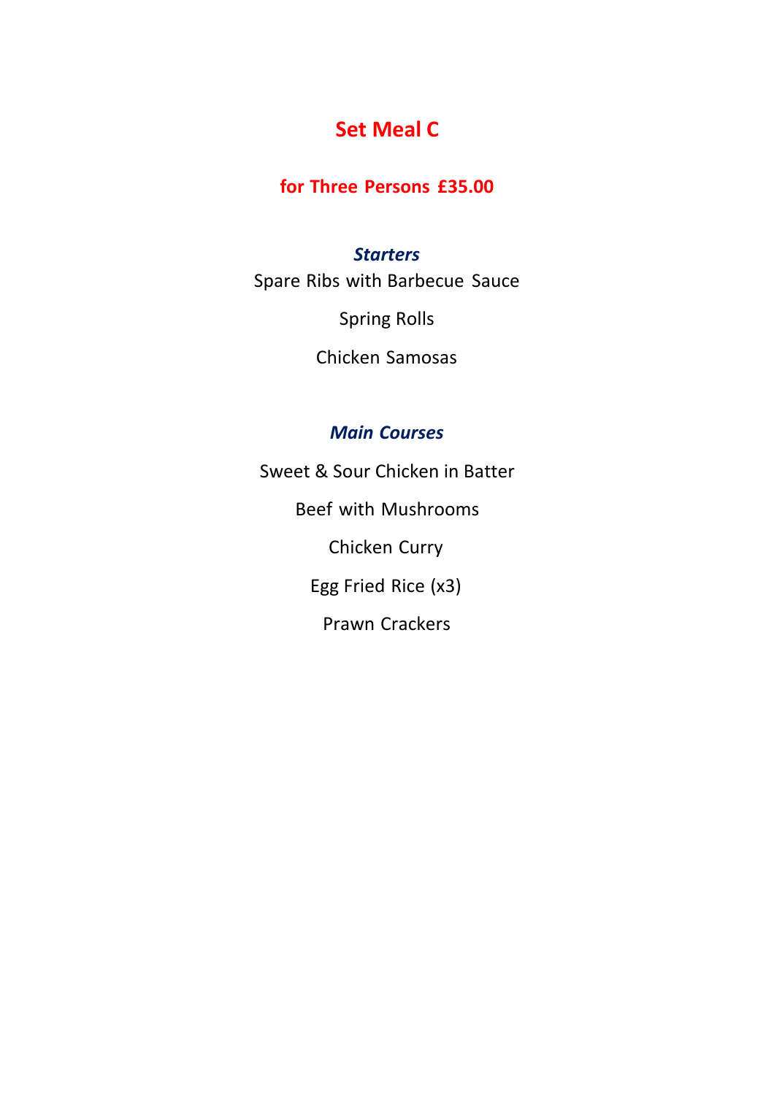# **Set Meal C**

# **for Three Persons £35.00**

### *Starters*

Spare Ribs with Barbecue Sauce

Spring Rolls

Chicken Samosas

## *Main Courses*

Sweet & Sour Chicken in Batter Beef with Mushrooms Chicken Curry Egg Fried Rice (x3) Prawn Crackers